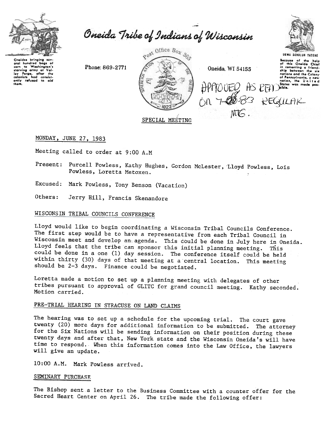

Oneida Tribe of Indians of Wisconsin



Oneidas bringing sow-<br>oral hundrod bags of<br>storying army at Val-<br>ioy forge, after tho<br>colonists had consist-<br>ently refused to aid<br>strike thom.

Phone: 869-2771



Oneida, WI 54155

 $HPfTO OFEQ$  AS  $PEPD<sub>31016</sub>$ .  $ON$  7-00  $83$  REGULAR MG.

UGWA DENOLUN TATEHE Because of the holp<br>Of this Oneida Chief<br>In cementing a friend nations and the Colony of Pennsylvania, a new<br>nation, the United

# MONDAY, JUNE 27, 1983

Meeting called to order at 9:00 A.M

- Present: Purcell Powless, Kathy Hughes, Gordon McLester, Lloyd Powless, Lois Powless, Loretta Metoxen.
- Excused: Mark Powless, Tony Benson (Vacation)
- Others: Jerry Hill, Francis Skenandore

# WISCONSIN TRIBAL COUNCILS CONFERENCE

Lloyd would like to begin coordinating a Wisconsin Tribal Councils Conference. The first step would be to have a representative from each Tribal Council in Wisconsin meet and develop an agenda. This could be done in July here in Oneida. Lloyd feels that the tribe can sponsor this initial planning meeting. This could be done in a one (1) day session. The conference itself could be held within thirty (30) days of that meeting at a central location. This meeting should be 2-3 days. Finance could be negotiated.

Loretta made a motion to set up a planning meeting with delegates of other tribes pursuant to approval of GLITC for grand council meeting. Kathy seconded. Motion carried.

# PRE-TRIAL HEARING IN SYRACUSE ON LAND CLAIMS

The hearing was to set up a schedule for the upcoming trial. The court gave twenty (20) more days for additional information to be submitted. The attorney for the Six Nations will be sending information on their position during these twenty days and after that, New York state and the Wisconsin Oneida's will have time to respond. When this information comes into the Law Office. the lawyers will give an update.

10:00 A.M. Mark Powless arrived.

### SEMINARY PURCHASE

The Bishop sent a letter to the Business Committee with a counter offer for the Sacred Heart Center on April 26. The tribe made the following offer: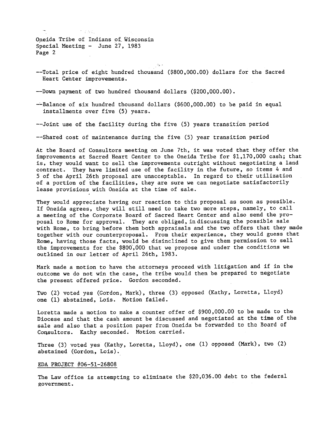Oneida Tribe of Indians of Wisconsin Special Meeting  $-$  June 27, 1983 Page 2

 $\tau$  risk.

-

--Total price of eight hundred thousand (\$800,000.00) dollars for the Sacred Heart Center improvements.

c, -

--Down payment of two hundred thousand dollars (\$200,000.00).

-~Balance of six hundred thousand dollars (\$600,000.00) to be paid in equal installments over five (5) years.

--Joint use of the facility during the five (5) years transition period

--Shared cost of maintenance during the five (5) year transition period

At the Board of Consultors meeting on June 7th. it was voted that they offer the improvements at Sacred Heart Center to the Oneida Tribe for \$1.170.000 cash; that is. they would want to sell the improvements outright without negotiating a land contract. They have limited use of the facility in the future, so items 4 and 5 of the April 26th proposal are unacceptable. In regard to their utilization of a portion of the facilities, they are sure we can negotiate satisfactorily lease provisions with Oneida at the time of sale.

They would appreciate having our reaction to this proposal as soon as possible. If Oneida agrees, they will still need to take two more steps, namely, to call a meeting of the Corporate Board of Sacred Heart Center and also send the proposal to Rome for approval. They are obliged, in discussing the possible sale with Rome, to bring before them both appraisals and the two offers that they made together with our counterproposal. From their experience, they would guess that Rome, having those facts, would be disinclined to give them permission to sell the improvements for the \$800.,000 that we propose and under the conditions we outlined in our letter of April 26th, 1983.

Mark made a motion to have the attorneys proceed with litigation and if in the outcome we do not win the case, the tribe would then be prepared to negotiate the present offered price. Gordon seconded.

Two (2) voted yes (Gordon, Mark), three (3) opposed (Kathy, Loretta, Lloyd) one (1) abstained, Lois. Motion failed.

Loretta made a motion to make a counter offer of \$900,000.00 to be made to the Diocese and that the cash amount be discussed and negotiated at the time of the sale and also that a position paper from Oneida be forwarded to thc Board of Consultors. Kathy seconded. Motion carried.

Three (3) voted yes (Kathy, Loretta, Lloyd), one (1) opposed (Mark), two (2) abstained (Gordon, Lois).

#### EDA PROJECT #06-51-26808

The Law office is attempting to eliminate the \$20-,036.00 debt to the federal government.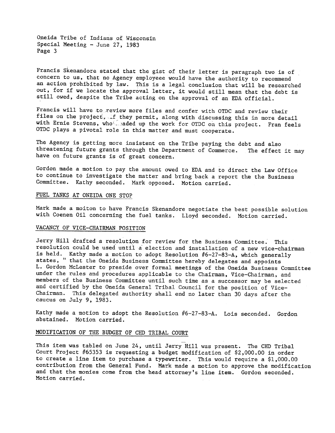Oneida Tribe of Indians of Wisconsin Special Meeting - June 27, 1983 Page 3

Francis Skenandore stated that the gist of their letter is paragraph two is of concern to us, that no Agency employeee would have the authority to recommend an action prohibited by law. This is a legal conclusion that will be researched out, for if we locate the approval letter, it would still mean that the debt is still owed, despite the Tribe acting on the approval of an EDA official.

Francis will have to review more files and confer with OTDC and review their files on the project, if they permit, along with discussing this in more detail with Ernie Stevens, who aded up the work for OTDC on this project. Fran feels OTDC plays a pivotal role in this matter and must cooperate.

The Agency is getting more insistent on the Tribe paying the debt and also threatening future grants through the Department of Commerce. The effect it may have on future grants is of great concern.

Gordon made a motion to pay the amount owed to EDA and to direct the Law Office to continue to investigate the matter and bring back a report the the Business Committee. Kathy seconded. Mark opposed. Motion carried.

## FUEL TANKS AT ONEIDA ONE STOP

Mark made a moiton to have Francis Skenandore negotiate the best possible solution with Coenen Oil concerning the fuel tanks. Lloyd seconded. Motion carried.

## VACANCY OF VICE-CHAIRMAN POSITION

Jerry Hill drafted a resolution for review for the Business Committee. This resolution could be used until a election and installation of a new vice-chairman is held. Kathy made a motion to adopt Resolution #6-27-83-A, which generally states, " that the Oneida Business Committee hereby delegates and appoints Gordon McLester to preside over formal meetings of the Oneida Business Committee under the rules and procedures applicable to the Chairman, Vice-Chairman, and members of the Business Committee until such time as a successor may be selected and certified by the Oneida General Tribal Council for the position of Vice-Chairman. This delegated authority shall end no later than 30 days after the caucus on July 9,1983.

Kathy made a motion to adopt the Resolution  $#6-27-83-A$ . Lois seconded. Gordon abstained. Motion carried.

## MODIFICATION OF THE BUDGET OF CHD TRIBAL COURT

This item was tabled on June 24, until Jerry Hill was present. The CHD Tribal Court Project #65353 is requesting a budget modification of \$2,000.00 in order to create a line item to purchase a typewriter. This would require a \$1,000.00 contribution from the General Fund. Mark made a motion to approve the modification and that the monies come from the head attorney's line item. Gordon seconded. Motion carried.